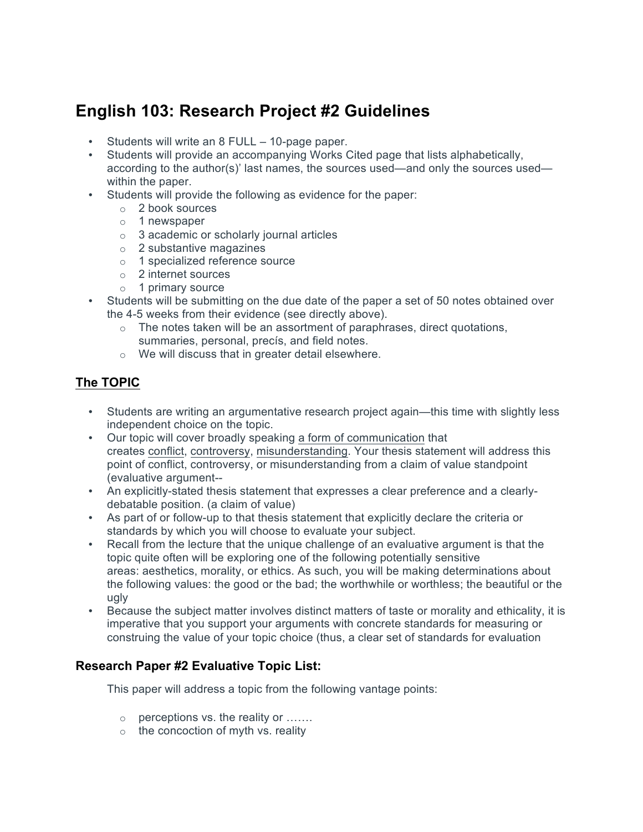## **English 103: Research Project #2 Guidelines**

- Students will write an 8 FULL 10-page paper.
- Students will provide an accompanying Works Cited page that lists alphabetically, according to the author(s)' last names, the sources used—and only the sources used within the paper.
- Students will provide the following as evidence for the paper:
	- o 2 book sources
	- o 1 newspaper
	- $\circ$  3 academic or scholarly journal articles
	- o 2 substantive magazines
	- o 1 specialized reference source
	- o 2 internet sources
	- o 1 primary source
- Students will be submitting on the due date of the paper a set of 50 notes obtained over the 4-5 weeks from their evidence (see directly above).
	- $\circ$  The notes taken will be an assortment of paraphrases, direct quotations, summaries, personal, precís, and field notes.
	- o We will discuss that in greater detail elsewhere.

## **The TOPIC**

- Students are writing an argumentative research project again—this time with slightly less independent choice on the topic.
- Our topic will cover broadly speaking a form of communication that creates conflict, controversy, misunderstanding. Your thesis statement will address this point of conflict, controversy, or misunderstanding from a claim of value standpoint (evaluative argument--
- An explicitly-stated thesis statement that expresses a clear preference and a clearlydebatable position. (a claim of value)
- As part of or follow-up to that thesis statement that explicitly declare the criteria or standards by which you will choose to evaluate your subject.
- Recall from the lecture that the unique challenge of an evaluative argument is that the topic quite often will be exploring one of the following potentially sensitive areas: aesthetics, morality, or ethics. As such, you will be making determinations about the following values: the good or the bad; the worthwhile or worthless; the beautiful or the ugly
- Because the subject matter involves distinct matters of taste or morality and ethicality, it is imperative that you support your arguments with concrete standards for measuring or construing the value of your topic choice (thus, a clear set of standards for evaluation

## **Research Paper #2 Evaluative Topic List:**

This paper will address a topic from the following vantage points:

- o perceptions vs. the reality or …….
- $\circ$  the concoction of myth vs. reality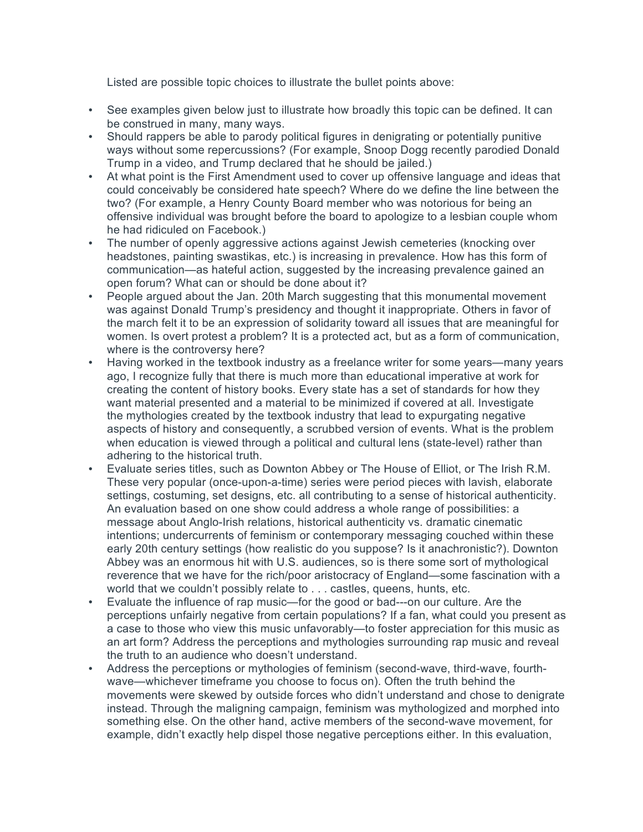Listed are possible topic choices to illustrate the bullet points above:

- See examples given below just to illustrate how broadly this topic can be defined. It can be construed in many, many ways.
- Should rappers be able to parody political figures in denigrating or potentially punitive ways without some repercussions? (For example, Snoop Dogg recently parodied Donald Trump in a video, and Trump declared that he should be jailed.)
- At what point is the First Amendment used to cover up offensive language and ideas that could conceivably be considered hate speech? Where do we define the line between the two? (For example, a Henry County Board member who was notorious for being an offensive individual was brought before the board to apologize to a lesbian couple whom he had ridiculed on Facebook.)
- The number of openly aggressive actions against Jewish cemeteries (knocking over headstones, painting swastikas, etc.) is increasing in prevalence. How has this form of communication—as hateful action, suggested by the increasing prevalence gained an open forum? What can or should be done about it?
- People argued about the Jan. 20th March suggesting that this monumental movement was against Donald Trump's presidency and thought it inappropriate. Others in favor of the march felt it to be an expression of solidarity toward all issues that are meaningful for women. Is overt protest a problem? It is a protected act, but as a form of communication, where is the controversy here?
- Having worked in the textbook industry as a freelance writer for some years—many years ago, I recognize fully that there is much more than educational imperative at work for creating the content of history books. Every state has a set of standards for how they want material presented and a material to be minimized if covered at all. Investigate the mythologies created by the textbook industry that lead to expurgating negative aspects of history and consequently, a scrubbed version of events. What is the problem when education is viewed through a political and cultural lens (state-level) rather than adhering to the historical truth.
- Evaluate series titles, such as Downton Abbey or The House of Elliot, or The Irish R.M. These very popular (once-upon-a-time) series were period pieces with lavish, elaborate settings, costuming, set designs, etc. all contributing to a sense of historical authenticity. An evaluation based on one show could address a whole range of possibilities: a message about Anglo-Irish relations, historical authenticity vs. dramatic cinematic intentions; undercurrents of feminism or contemporary messaging couched within these early 20th century settings (how realistic do you suppose? Is it anachronistic?). Downton Abbey was an enormous hit with U.S. audiences, so is there some sort of mythological reverence that we have for the rich/poor aristocracy of England—some fascination with a world that we couldn't possibly relate to . . . castles, queens, hunts, etc.
- Evaluate the influence of rap music—for the good or bad---on our culture. Are the perceptions unfairly negative from certain populations? If a fan, what could you present as a case to those who view this music unfavorably—to foster appreciation for this music as an art form? Address the perceptions and mythologies surrounding rap music and reveal the truth to an audience who doesn't understand.
- Address the perceptions or mythologies of feminism (second-wave, third-wave, fourthwave—whichever timeframe you choose to focus on). Often the truth behind the movements were skewed by outside forces who didn't understand and chose to denigrate instead. Through the maligning campaign, feminism was mythologized and morphed into something else. On the other hand, active members of the second-wave movement, for example, didn't exactly help dispel those negative perceptions either. In this evaluation,